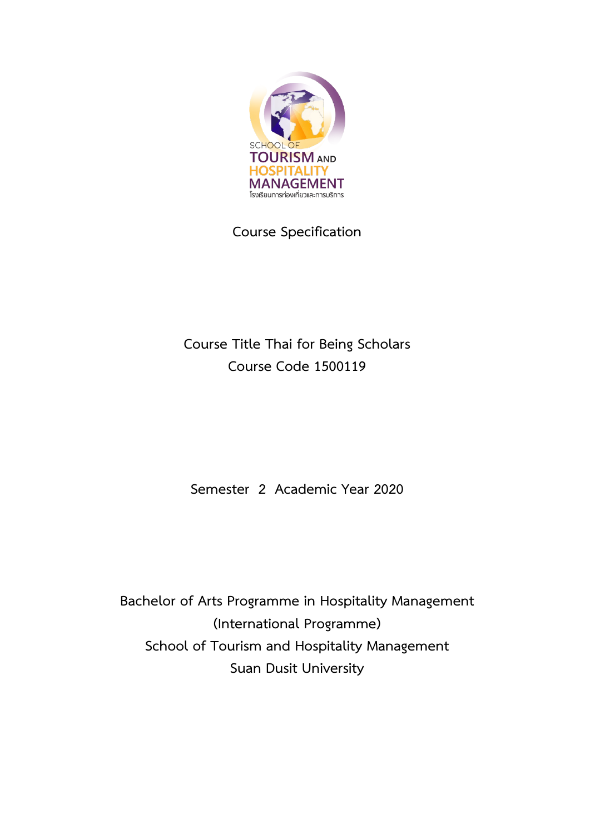

**Course Specification**

**Course Title Thai for Being Scholars Course Code 1500119**

**Semester 2 Academic Year 2020**

**Bachelor of Arts Programme in Hospitality Management (International Programme) School of Tourism and Hospitality Management Suan Dusit University**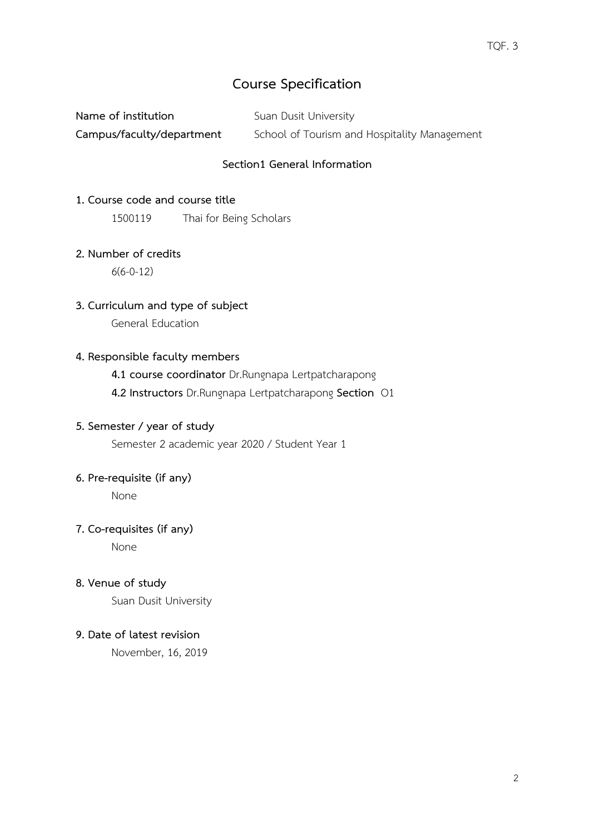# **Course Specification**

| Name of institution       | Suan Dusit University                        |
|---------------------------|----------------------------------------------|
| Campus/faculty/department | School of Tourism and Hospitality Management |

## **Section1 General Information**

### **1. Course code and course title**

1500119 Thai for Being Scholars

### **2. Number of credits**

6(6-0-12)

**3. Curriculum and type of subject**

General Education

## **4. Responsible faculty members**

**4.1 course coordinator** Dr.Rungnapa Lertpatcharapong

**4.2 Instructors** Dr.Rungnapa Lertpatcharapong **Section** O1

## **5. Semester / year of study**

Semester 2 academic year 2020 / Student Year 1

# **6. Pre-requisite (if any)**

None

## **7. Co-requisites (if any)**

None

**8. Venue of study**

Suan Dusit University

### **9. Date of latest revision**

November, 16, 2019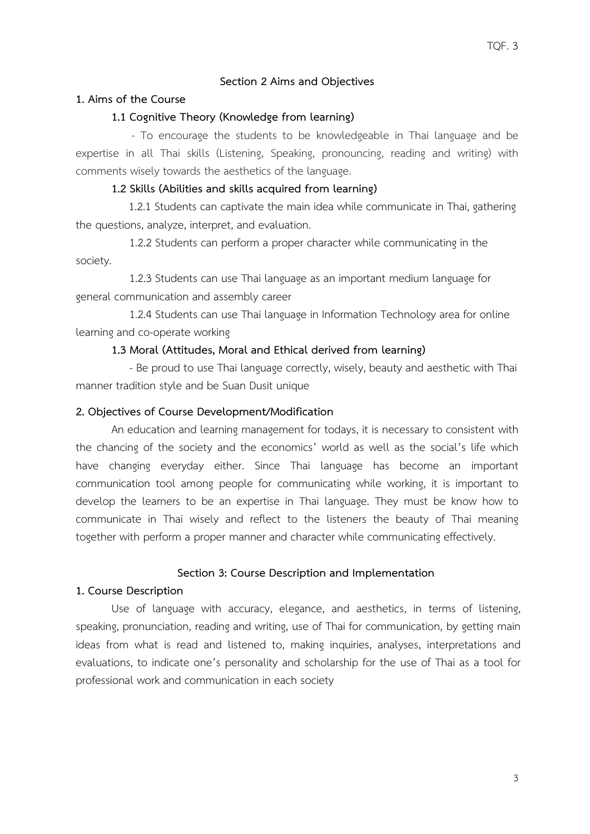### **Section 2 Aims and Objectives**

#### **1. Aims of the Course**

### **1.1 Cognitive Theory (Knowledge from learning)**

 - To encourage the students to be knowledgeable in Thai language and be expertise in all Thai skills (Listening, Speaking, pronouncing, reading and writing) with comments wisely towards the aesthetics of the language.

### **1.2 Skills (Abilities and skills acquired from learning)**

 1.2.1 Students can captivate the main idea while communicate in Thai, gathering the questions, analyze, interpret, and evaluation.

1.2.2 Students can perform a proper character while communicating in the society.

1.2.3 Students can use Thai language as an important medium language for general communication and assembly career

1.2.4 Students can use Thai language in Information Technology area for online learning and co-operate working

#### **1.3 Moral (Attitudes, Moral and Ethical derived from learning)**

- Be proud to use Thai language correctly, wisely, beauty and aesthetic with Thai manner tradition style and be Suan Dusit unique

#### **2. Objectives of Course Development/Modification**

An education and learning management for todays, it is necessary to consistent with the chancing of the society and the economics' world as well as the social's life which have changing everyday either. Since Thai language has become an important communication tool among people for communicating while working, it is important to develop the learners to be an expertise in Thai language. They must be know how to communicate in Thai wisely and reflect to the listeners the beauty of Thai meaning together with perform a proper manner and character while communicating effectively.

#### **Section 3: Course Description and Implementation**

#### **1. Course Description**

Use of language with accuracy, elegance, and aesthetics, in terms of listening, speaking, pronunciation, reading and writing, use of Thai for communication, by getting main ideas from what is read and listened to, making inquiries, analyses, interpretations and evaluations, to indicate one's personality and scholarship for the use of Thai as a tool for professional work and communication in each society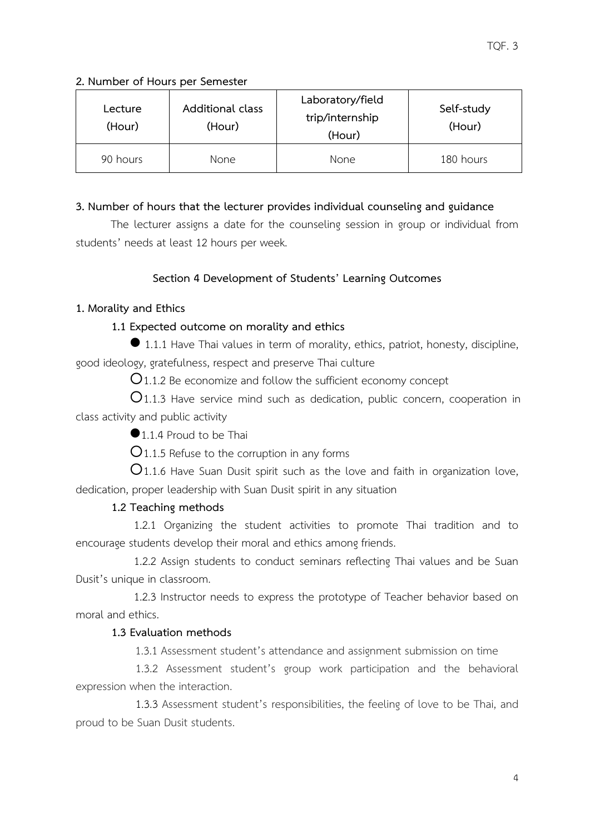## **2. Number of Hours per Semester**

| Lecture<br>(Hour) | <b>Additional class</b><br>(Hour) | Laboratory/field<br>trip/internship<br>(Hour) | Self-study<br>(Hour) |
|-------------------|-----------------------------------|-----------------------------------------------|----------------------|
| 90 hours          | None                              | <b>None</b>                                   | 180 hours            |

## **3. Number of hours that the lecturer provides individual counseling and guidance**

The lecturer assigns a date for the counseling session in group or individual from students' needs at least 12 hours per week.

# **Section 4 Development of Students' Learning Outcomes**

# **1. Morality and Ethics**

# **1.1 Expected outcome on morality and ethics**

 1.1.1 Have Thai values in term of morality, ethics, patriot, honesty, discipline, good ideology, gratefulness, respect and preserve Thai culture

 $\mathsf{O}_{1.1.2}$  Be economize and follow the sufficient economy concept

1.1.3 Have service mind such as dedication, public concern, cooperation in class activity and public activity

1.1.4 Proud to be Thai

 $Q$ 1.1.5 Refuse to the corruption in any forms

 $O$ 1.1.6 Have Suan Dusit spirit such as the love and faith in organization love, dedication, proper leadership with Suan Dusit spirit in any situation

# **1.2 Teaching methods**

1.2.1 Organizing the student activities to promote Thai tradition and to encourage students develop their moral and ethics among friends.

1.2.2 Assign students to conduct seminars reflecting Thai values and be Suan Dusit's unique in classroom.

1.2.3 Instructor needs to express the prototype of Teacher behavior based on moral and ethics.

# **1.3 Evaluation methods**

1.3.1 Assessment student's attendance and assignment submission on time

 1.3.2 Assessment student's group work participation and the behavioral expression when the interaction.

 1.3.3 Assessment student's responsibilities, the feeling of love to be Thai, and proud to be Suan Dusit students.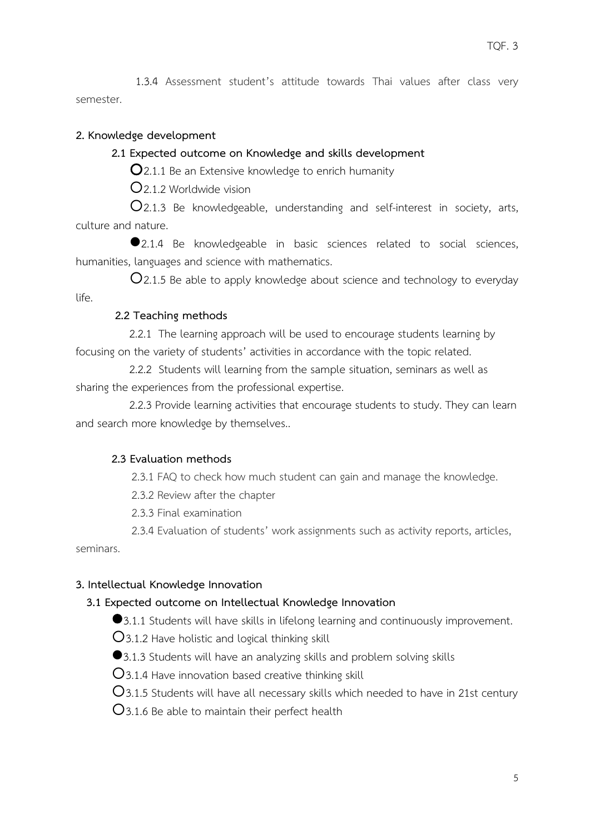1.3.4 Assessment student's attitude towards Thai values after class very semester.

## **2. Knowledge development**

## **2.1 Expected outcome on Knowledge and skills development**

 $\mathbf{Q}_{2.1.1}$  Be an Extensive knowledge to enrich humanity

2.1.2 Worldwide vision

2.1.3 Be knowledgeable, understanding and self-interest in society, arts, culture and nature.

2.1.4 Be knowledgeable in basic sciences related to social sciences, humanities, languages and science with mathematics.

 $Q$ 2.1.5 Be able to apply knowledge about science and technology to everyday life.

## **2.2 Teaching methods**

2.2.1 The learning approach will be used to encourage students learning by focusing on the variety of students' activities in accordance with the topic related.

2.2.2 Students will learning from the sample situation, seminars as well as sharing the experiences from the professional expertise.

2.2.3 Provide learning activities that encourage students to study. They can learn and search more knowledge by themselves..

# **2.3 Evaluation methods**

2.3.1 FAQ to check how much student can gain and manage the knowledge.

2.3.2 Review after the chapter

2.3.3 Final examination

 2.3.4 Evaluation of students' work assignments such as activity reports, articles, seminars.

# **3. Intellectual Knowledge Innovation**

# **3.1 Expected outcome on Intellectual Knowledge Innovation**

●3.1.1 Students will have skills in lifelong learning and continuously improvement.

3.1.2 Have holistic and logical thinking skill

●3.1.3 Students will have an analyzing skills and problem solving skills

 $O$ 3.1.4 Have innovation based creative thinking skill

 $O$ 3.1.5 Students will have all necessary skills which needed to have in 21st century

3.1.6 Be able to maintain their perfect health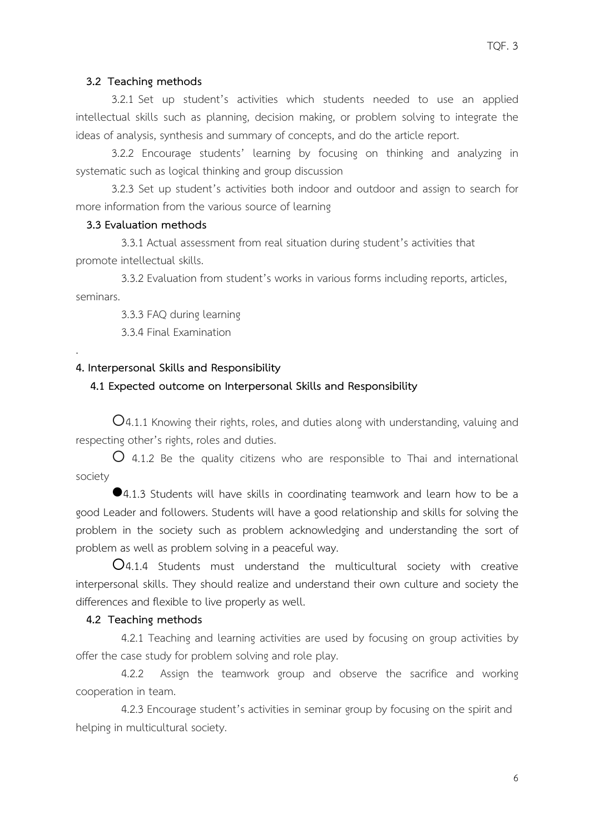#### **3.2 Teaching methods**

3.2.1 Set up student's activities which students needed to use an applied intellectual skills such as planning, decision making, or problem solving to integrate the ideas of analysis, synthesis and summary of concepts, and do the article report.

3.2.2 Encourage students' learning by focusing on thinking and analyzing in systematic such as logical thinking and group discussion

3.2.3 Set up student's activities both indoor and outdoor and assign to search for more information from the various source of learning

### **3.3 Evaluation methods**

.

 3.3.1 Actual assessment from real situation during student's activities that promote intellectual skills.

3.3.2 Evaluation from student's works in various forms including reports, articles, seminars.

3.3.3 FAQ during learning

3.3.4 Final Examination

### **4. Interpersonal Skills and Responsibility**

#### **4.1 Expected outcome on Interpersonal Skills and Responsibility**

4.1.1 Knowing their rights, roles, and duties along with understanding, valuing and respecting other's rights, roles and duties.

 $\overline{O}$  4.1.2 Be the quality citizens who are responsible to Thai and international society

4.1.3 Students will have skills in coordinating teamwork and learn how to be a good Leader and followers. Students will have a good relationship and skills for solving the problem in the society such as problem acknowledging and understanding the sort of problem as well as problem solving in a peaceful way.

4.1.4 Students must understand the multicultural society with creative interpersonal skills. They should realize and understand their own culture and society the differences and flexible to live properly as well.

#### **4.2 Teaching methods**

4.2.1 Teaching and learning activities are used by focusing on group activities by offer the case study for problem solving and role play.

4.2.2 Assign the teamwork group and observe the sacrifice and working cooperation in team.

4.2.3 Encourage student's activities in seminar group by focusing on the spirit and helping in multicultural society.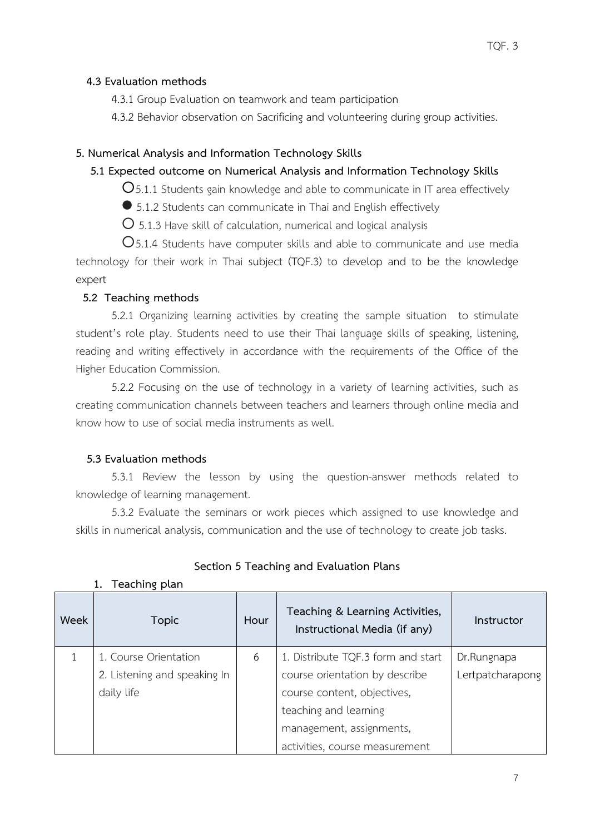## **4.3 Evaluation methods**

4.3.1 Group Evaluation on teamwork and team participation

4.3.2 Behavior observation on Sacrificing and volunteering during group activities.

## **5. Numerical Analysis and Information Technology Skills**

## **5.1 Expected outcome on Numerical Analysis and Information Technology Skills**

 $O$ 5.1.1 Students gain knowledge and able to communicate in IT area effectively

5.1.2 Students can communicate in Thai and English effectively

 $\overline{O}$  5.1.3 Have skill of calculation, numerical and logical analysis

O5.1.4 Students have computer skills and able to communicate and use media technology for their work in Thai subject (TQF.3) to develop and to be the knowledge expert

## **5.2 Teaching methods**

5.2.1 Organizing learning activities by creating the sample situation to stimulate student's role play. Students need to use their Thai language skills of speaking, listening, reading and writing effectively in accordance with the requirements of the Office of the Higher Education Commission.

5.2.2 Focusing on the use of technology in a variety of learning activities, such as creating communication channels between teachers and learners through online media and know how to use of social media instruments as well.

# **5.3 Evaluation methods**

**1. Teaching plan**

5.3.1 Review the lesson by using the question-answer methods related to knowledge of learning management.

5.3.2 Evaluate the seminars or work pieces which assigned to use knowledge and skills in numerical analysis, communication and the use of technology to create job tasks.

| Week | <b>Topic</b>                 | Hour | Teaching & Learning Activities,<br>Instructional Media (if any) | Instructor       |
|------|------------------------------|------|-----------------------------------------------------------------|------------------|
|      | 1. Course Orientation        | 6    | 1. Distribute TQF.3 form and start                              | Dr.Rungnapa      |
|      | 2. Listening and speaking In |      | course orientation by describe                                  | Lertpatcharapong |
|      | daily life                   |      | course content, objectives,                                     |                  |
|      |                              |      | teaching and learning                                           |                  |
|      |                              |      | management, assignments,                                        |                  |
|      |                              |      | activities, course measurement                                  |                  |

# **Section 5 Teaching and Evaluation Plans**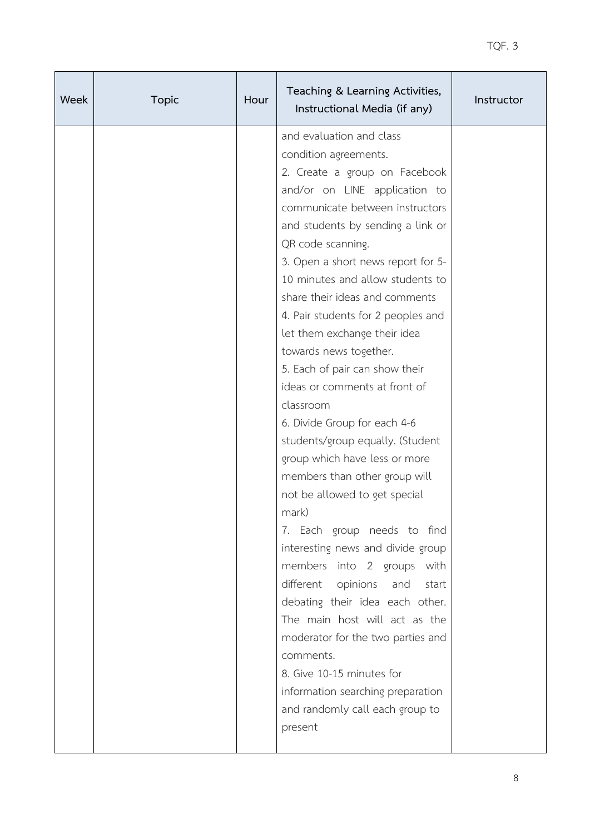| Week | <b>Topic</b> | Hour | Teaching & Learning Activities,<br>Instructional Media (if any) | Instructor |
|------|--------------|------|-----------------------------------------------------------------|------------|
|      |              |      | and evaluation and class                                        |            |
|      |              |      | condition agreements.                                           |            |
|      |              |      | 2. Create a group on Facebook                                   |            |
|      |              |      | and/or on LINE application to                                   |            |
|      |              |      | communicate between instructors                                 |            |
|      |              |      | and students by sending a link or                               |            |
|      |              |      | QR code scanning.                                               |            |
|      |              |      | 3. Open a short news report for 5-                              |            |
|      |              |      | 10 minutes and allow students to                                |            |
|      |              |      | share their ideas and comments                                  |            |
|      |              |      | 4. Pair students for 2 peoples and                              |            |
|      |              |      | let them exchange their idea                                    |            |
|      |              |      | towards news together.                                          |            |
|      |              |      | 5. Each of pair can show their                                  |            |
|      |              |      | ideas or comments at front of                                   |            |
|      |              |      | classroom                                                       |            |
|      |              |      | 6. Divide Group for each 4-6                                    |            |
|      |              |      | students/group equally. (Student                                |            |
|      |              |      | group which have less or more                                   |            |
|      |              |      | members than other group will                                   |            |
|      |              |      | not be allowed to get special                                   |            |
|      |              |      | mark)                                                           |            |
|      |              |      | 7. Each group needs to find                                     |            |
|      |              |      | interesting news and divide group                               |            |
|      |              |      | members into 2 groups with                                      |            |
|      |              |      | different opinions<br>and<br>start                              |            |
|      |              |      | debating their idea each other.                                 |            |
|      |              |      | The main host will act as the                                   |            |
|      |              |      | moderator for the two parties and                               |            |
|      |              |      | comments.                                                       |            |
|      |              |      | 8. Give 10-15 minutes for                                       |            |
|      |              |      | information searching preparation                               |            |
|      |              |      | and randomly call each group to                                 |            |
|      |              |      | present                                                         |            |
|      |              |      |                                                                 |            |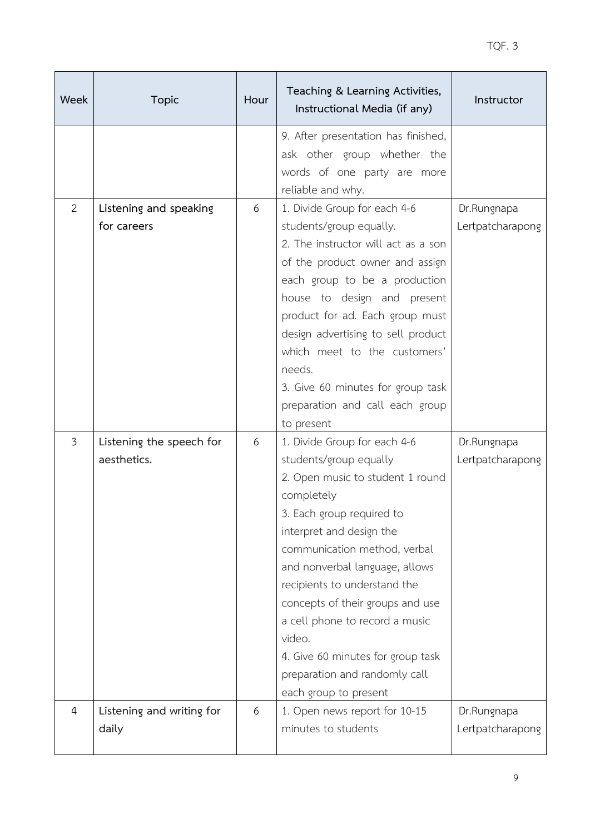| Week           | <b>Topic</b>                            | Hour | Teaching & Learning Activities,<br>Instructional Media (if any)                                                                                                                                                                                                                                                                                                                                                                                    | Instructor                      |
|----------------|-----------------------------------------|------|----------------------------------------------------------------------------------------------------------------------------------------------------------------------------------------------------------------------------------------------------------------------------------------------------------------------------------------------------------------------------------------------------------------------------------------------------|---------------------------------|
|                |                                         |      | 9. After presentation has finished,<br>ask other group whether the<br>words of one party are more<br>reliable and why.                                                                                                                                                                                                                                                                                                                             |                                 |
| $\overline{2}$ | Listening and speaking<br>for careers   | 6    | 1. Divide Group for each 4-6<br>students/group equally.<br>2. The instructor will act as a son<br>of the product owner and assign<br>each group to be a production<br>house to design and present<br>product for ad. Each group must<br>design advertising to sell product<br>which meet to the customers'<br>needs.<br>3. Give 60 minutes for group task<br>preparation and call each group<br>to present                                         | Dr.Rungnapa<br>Lertpatcharapong |
| $\mathfrak{Z}$ | Listening the speech for<br>aesthetics. | 6    | 1. Divide Group for each 4-6<br>students/group equally<br>2. Open music to student 1 round<br>completely<br>3. Each group required to<br>interpret and design the<br>communication method, verbal<br>and nonverbal language, allows<br>recipients to understand the<br>concepts of their groups and use<br>a cell phone to record a music<br>video.<br>4. Give 60 minutes for group task<br>preparation and randomly call<br>each group to present | Dr.Rungnapa<br>Lertpatcharapong |
| $\overline{4}$ | Listening and writing for<br>daily      | 6    | 1. Open news report for 10-15<br>minutes to students                                                                                                                                                                                                                                                                                                                                                                                               | Dr.Rungnapa<br>Lertpatcharapong |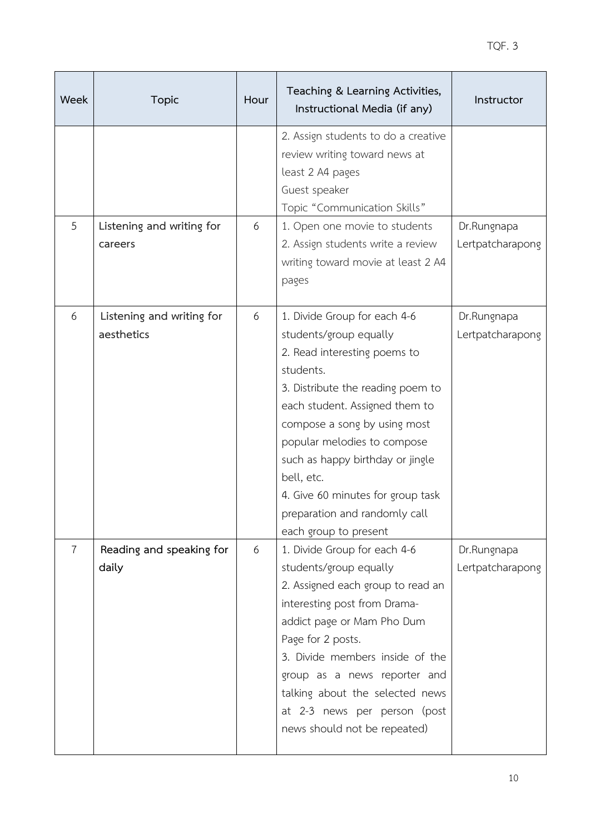| Week           | <b>Topic</b>                            | Hour | Teaching & Learning Activities,<br>Instructional Media (if any)                                                                                                                                                                                                                                                                                                                            | Instructor                      |
|----------------|-----------------------------------------|------|--------------------------------------------------------------------------------------------------------------------------------------------------------------------------------------------------------------------------------------------------------------------------------------------------------------------------------------------------------------------------------------------|---------------------------------|
|                |                                         |      | 2. Assign students to do a creative<br>review writing toward news at<br>least 2 A4 pages<br>Guest speaker<br>Topic "Communication Skills"                                                                                                                                                                                                                                                  |                                 |
| 5              | Listening and writing for<br>careers    | 6    | 1. Open one movie to students<br>2. Assign students write a review<br>writing toward movie at least 2 A4<br>pages                                                                                                                                                                                                                                                                          | Dr.Rungnapa<br>Lertpatcharapong |
| 6              | Listening and writing for<br>aesthetics | 6    | 1. Divide Group for each 4-6<br>students/group equally<br>2. Read interesting poems to<br>students.<br>3. Distribute the reading poem to<br>each student. Assigned them to<br>compose a song by using most<br>popular melodies to compose<br>such as happy birthday or jingle<br>bell, etc.<br>4. Give 60 minutes for group task<br>preparation and randomly call<br>each group to present | Dr.Rungnapa<br>Lertpatcharapong |
| $\overline{7}$ | Reading and speaking for<br>daily       | 6    | 1. Divide Group for each 4-6<br>students/group equally<br>2. Assigned each group to read an<br>interesting post from Drama-<br>addict page or Mam Pho Dum<br>Page for 2 posts.<br>3. Divide members inside of the<br>group as a news reporter and<br>talking about the selected news<br>at 2-3 news per person (post<br>news should not be repeated)                                       | Dr.Rungnapa<br>Lertpatcharapong |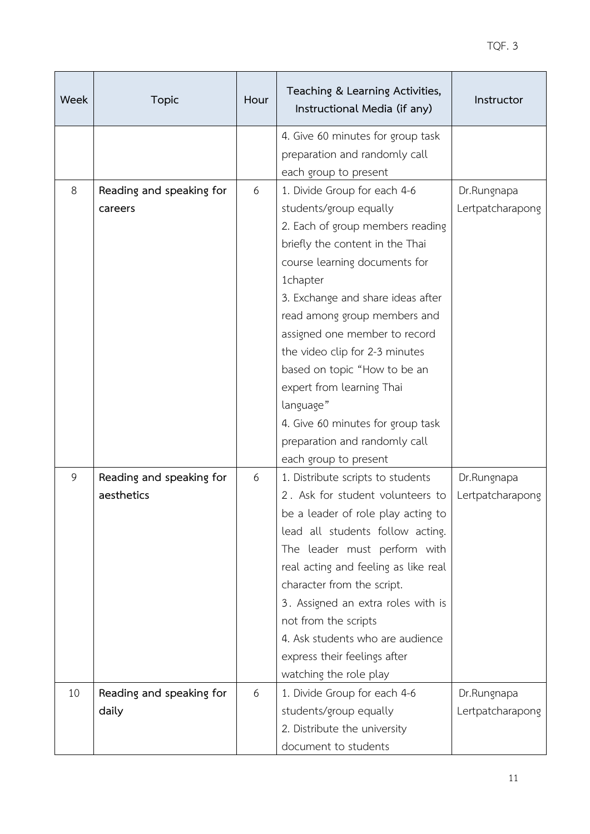| Week | <b>Topic</b>             | Hour | Teaching & Learning Activities,<br>Instructional Media (if any)    | Instructor       |
|------|--------------------------|------|--------------------------------------------------------------------|------------------|
|      |                          |      | 4. Give 60 minutes for group task<br>preparation and randomly call |                  |
|      |                          |      | each group to present                                              |                  |
| 8    | Reading and speaking for | 6    | 1. Divide Group for each 4-6                                       | Dr.Rungnapa      |
|      | careers                  |      | students/group equally                                             | Lertpatcharapong |
|      |                          |      | 2. Each of group members reading                                   |                  |
|      |                          |      | briefly the content in the Thai                                    |                  |
|      |                          |      | course learning documents for                                      |                  |
|      |                          |      | 1chapter                                                           |                  |
|      |                          |      | 3. Exchange and share ideas after                                  |                  |
|      |                          |      | read among group members and<br>assigned one member to record      |                  |
|      |                          |      | the video clip for 2-3 minutes                                     |                  |
|      |                          |      | based on topic "How to be an                                       |                  |
|      |                          |      | expert from learning Thai                                          |                  |
|      |                          |      | language"                                                          |                  |
|      |                          |      | 4. Give 60 minutes for group task                                  |                  |
|      |                          |      | preparation and randomly call                                      |                  |
|      |                          |      | each group to present                                              |                  |
| 9    | Reading and speaking for | 6    | 1. Distribute scripts to students                                  | Dr.Rungnapa      |
|      | aesthetics               |      | 2. Ask for student volunteers to                                   | Lertpatcharapong |
|      |                          |      | be a leader of role play acting to                                 |                  |
|      |                          |      | lead all students follow acting.                                   |                  |
|      |                          |      | The leader must perform with                                       |                  |
|      |                          |      | real acting and feeling as like real                               |                  |
|      |                          |      | character from the script.                                         |                  |
|      |                          |      | 3. Assigned an extra roles with is                                 |                  |
|      |                          |      | not from the scripts                                               |                  |
|      |                          |      | 4. Ask students who are audience                                   |                  |
|      |                          |      | express their feelings after                                       |                  |
|      |                          |      | watching the role play                                             |                  |
| 10   | Reading and speaking for | 6    | 1. Divide Group for each 4-6                                       | Dr.Rungnapa      |
|      | daily                    |      | students/group equally                                             | Lertpatcharapong |
|      |                          |      | 2. Distribute the university                                       |                  |
|      |                          |      | document to students                                               |                  |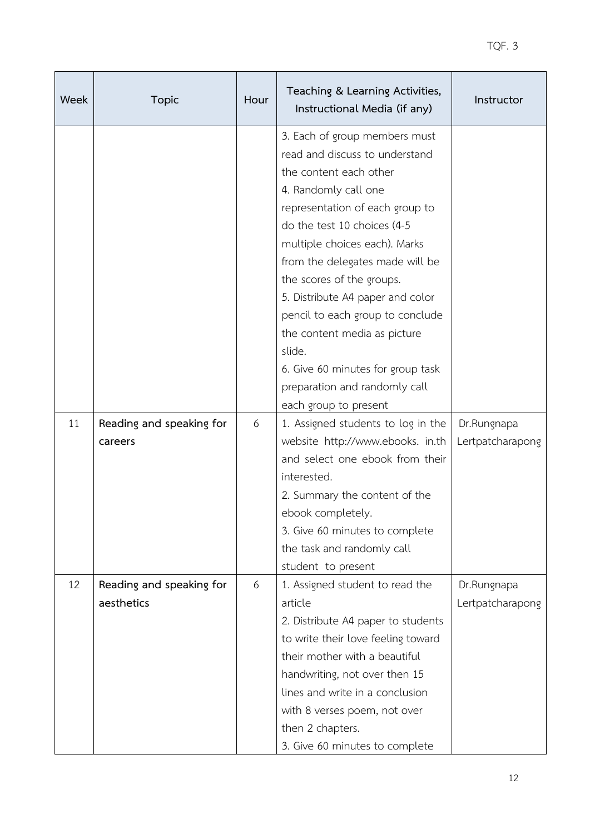| Week | <b>Topic</b>                           | Hour | Teaching & Learning Activities,<br>Instructional Media (if any)                                                                                                                                                                                                                                                                                                                                                                                                              | Instructor                      |
|------|----------------------------------------|------|------------------------------------------------------------------------------------------------------------------------------------------------------------------------------------------------------------------------------------------------------------------------------------------------------------------------------------------------------------------------------------------------------------------------------------------------------------------------------|---------------------------------|
|      |                                        |      | 3. Each of group members must<br>read and discuss to understand<br>the content each other<br>4. Randomly call one<br>representation of each group to<br>do the test 10 choices (4-5<br>multiple choices each). Marks<br>from the delegates made will be<br>the scores of the groups.<br>5. Distribute A4 paper and color<br>pencil to each group to conclude<br>the content media as picture<br>slide.<br>6. Give 60 minutes for group task<br>preparation and randomly call |                                 |
|      |                                        |      | each group to present                                                                                                                                                                                                                                                                                                                                                                                                                                                        |                                 |
| 11   | Reading and speaking for<br>careers    | 6    | 1. Assigned students to log in the<br>website http://www.ebooks. in.th<br>and select one ebook from their<br>interested.<br>2. Summary the content of the<br>ebook completely.<br>3. Give 60 minutes to complete<br>the task and randomly call<br>student to present                                                                                                                                                                                                         | Dr.Rungnapa<br>Lertpatcharapong |
| 12   | Reading and speaking for<br>aesthetics | 6    | 1. Assigned student to read the<br>article<br>2. Distribute A4 paper to students<br>to write their love feeling toward<br>their mother with a beautiful<br>handwriting, not over then 15<br>lines and write in a conclusion<br>with 8 verses poem, not over<br>then 2 chapters.<br>3. Give 60 minutes to complete                                                                                                                                                            | Dr.Rungnapa<br>Lertpatcharapong |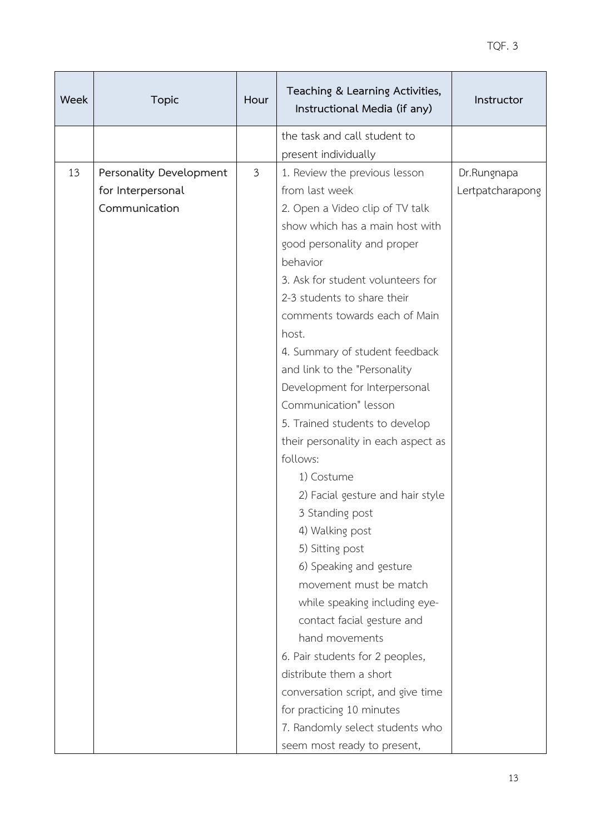| Week | <b>Topic</b>            | Hour           | Teaching & Learning Activities,<br>Instructional Media (if any) | Instructor       |
|------|-------------------------|----------------|-----------------------------------------------------------------|------------------|
|      |                         |                | the task and call student to                                    |                  |
|      |                         |                | present individually                                            |                  |
| 13   | Personality Development | $\mathfrak{Z}$ | 1. Review the previous lesson                                   | Dr.Rungnapa      |
|      | for Interpersonal       |                | from last week                                                  | Lertpatcharapong |
|      | Communication           |                | 2. Open a Video clip of TV talk                                 |                  |
|      |                         |                | show which has a main host with                                 |                  |
|      |                         |                | good personality and proper                                     |                  |
|      |                         |                | behavior                                                        |                  |
|      |                         |                | 3. Ask for student volunteers for                               |                  |
|      |                         |                | 2-3 students to share their                                     |                  |
|      |                         |                | comments towards each of Main                                   |                  |
|      |                         |                | host.                                                           |                  |
|      |                         |                | 4. Summary of student feedback                                  |                  |
|      |                         |                | and link to the "Personality                                    |                  |
|      |                         |                | Development for Interpersonal                                   |                  |
|      |                         |                | Communication" lesson                                           |                  |
|      |                         |                | 5. Trained students to develop                                  |                  |
|      |                         |                | their personality in each aspect as                             |                  |
|      |                         |                | follows:                                                        |                  |
|      |                         |                | 1) Costume                                                      |                  |
|      |                         |                | 2) Facial gesture and hair style                                |                  |
|      |                         |                | 3 Standing post                                                 |                  |
|      |                         |                | 4) Walking post                                                 |                  |
|      |                         |                | 5) Sitting post                                                 |                  |
|      |                         |                | 6) Speaking and gesture                                         |                  |
|      |                         |                | movement must be match                                          |                  |
|      |                         |                | while speaking including eye-                                   |                  |
|      |                         |                | contact facial gesture and                                      |                  |
|      |                         |                | hand movements                                                  |                  |
|      |                         |                | 6. Pair students for 2 peoples,                                 |                  |
|      |                         |                | distribute them a short                                         |                  |
|      |                         |                | conversation script, and give time                              |                  |
|      |                         |                | for practicing 10 minutes                                       |                  |
|      |                         |                | 7. Randomly select students who                                 |                  |
|      |                         |                | seem most ready to present,                                     |                  |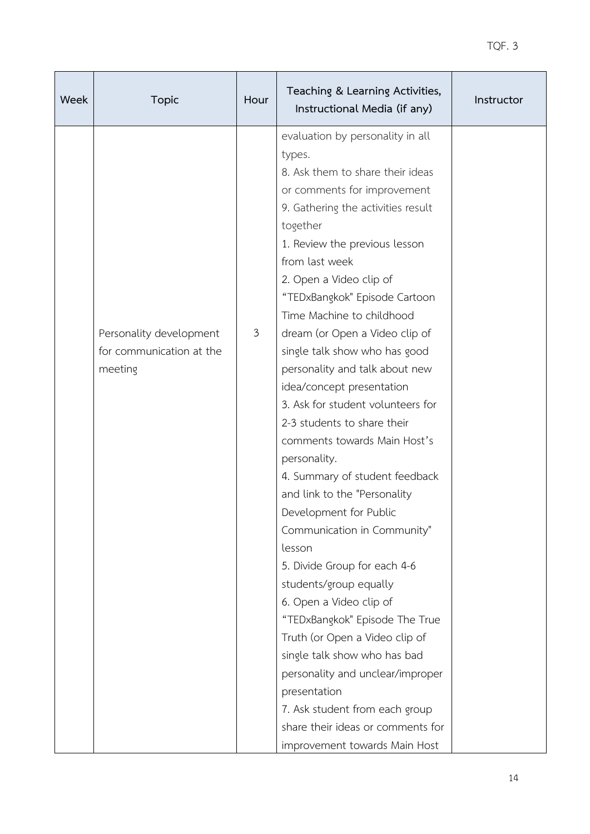| Week | <b>Topic</b>                                                   | Hour           | Teaching & Learning Activities,<br>Instructional Media (if any)                                                                                                                                                                                                                                                                                                                                                                                                                                                                                                                                                                                                                                                                                                                                                                                                                                                                                                                                                                                             | Instructor |
|------|----------------------------------------------------------------|----------------|-------------------------------------------------------------------------------------------------------------------------------------------------------------------------------------------------------------------------------------------------------------------------------------------------------------------------------------------------------------------------------------------------------------------------------------------------------------------------------------------------------------------------------------------------------------------------------------------------------------------------------------------------------------------------------------------------------------------------------------------------------------------------------------------------------------------------------------------------------------------------------------------------------------------------------------------------------------------------------------------------------------------------------------------------------------|------------|
|      | Personality development<br>for communication at the<br>meeting | $\mathfrak{Z}$ | evaluation by personality in all<br>types.<br>8. Ask them to share their ideas<br>or comments for improvement<br>9. Gathering the activities result<br>together<br>1. Review the previous lesson<br>from last week<br>2. Open a Video clip of<br>"TEDxBangkok" Episode Cartoon<br>Time Machine to childhood<br>dream (or Open a Video clip of<br>single talk show who has good<br>personality and talk about new<br>idea/concept presentation<br>3. Ask for student volunteers for<br>2-3 students to share their<br>comments towards Main Host's<br>personality.<br>4. Summary of student feedback<br>and link to the "Personality<br>Development for Public<br>Communication in Community"<br>lesson<br>5. Divide Group for each 4-6<br>students/group equally<br>6. Open a Video clip of<br>"TEDxBangkok" Episode The True<br>Truth (or Open a Video clip of<br>single talk show who has bad<br>personality and unclear/improper<br>presentation<br>7. Ask student from each group<br>share their ideas or comments for<br>improvement towards Main Host |            |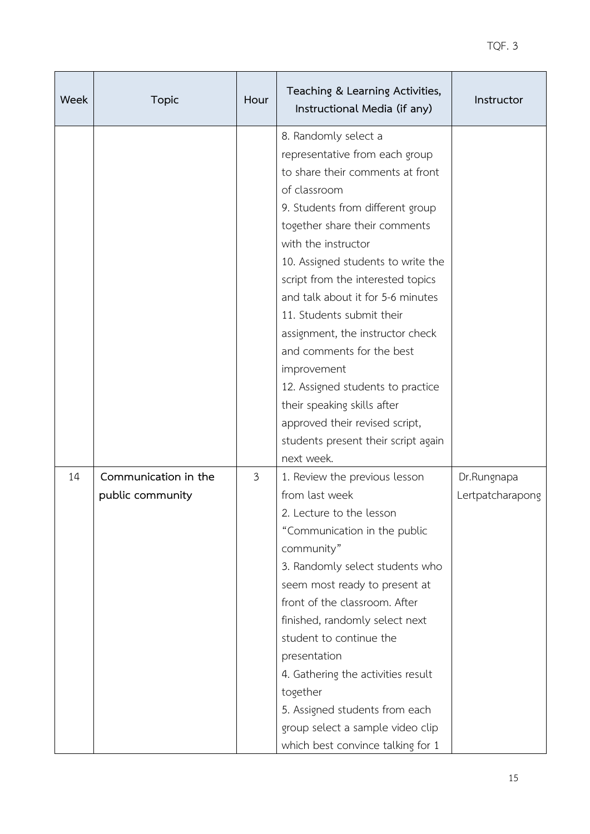| Week | <b>Topic</b>                             | Hour | Teaching & Learning Activities,<br>Instructional Media (if any)                                                                                                                                                                                                                                                                                                                                                                                                                                                                                                                  | Instructor                      |
|------|------------------------------------------|------|----------------------------------------------------------------------------------------------------------------------------------------------------------------------------------------------------------------------------------------------------------------------------------------------------------------------------------------------------------------------------------------------------------------------------------------------------------------------------------------------------------------------------------------------------------------------------------|---------------------------------|
|      |                                          |      | 8. Randomly select a<br>representative from each group<br>to share their comments at front<br>of classroom<br>9. Students from different group<br>together share their comments<br>with the instructor<br>10. Assigned students to write the<br>script from the interested topics<br>and talk about it for 5-6 minutes<br>11. Students submit their<br>assignment, the instructor check<br>and comments for the best<br>improvement<br>12. Assigned students to practice<br>their speaking skills after<br>approved their revised script,<br>students present their script again |                                 |
| 14   | Communication in the<br>public community | 3    | next week.<br>1. Review the previous lesson<br>from last week<br>2. Lecture to the lesson<br>"Communication in the public<br>community"<br>3. Randomly select students who<br>seem most ready to present at<br>front of the classroom. After<br>finished, randomly select next<br>student to continue the<br>presentation<br>4. Gathering the activities result<br>together<br>5. Assigned students from each<br>group select a sample video clip<br>which best convince talking for 1                                                                                           | Dr.Rungnapa<br>Lertpatcharapong |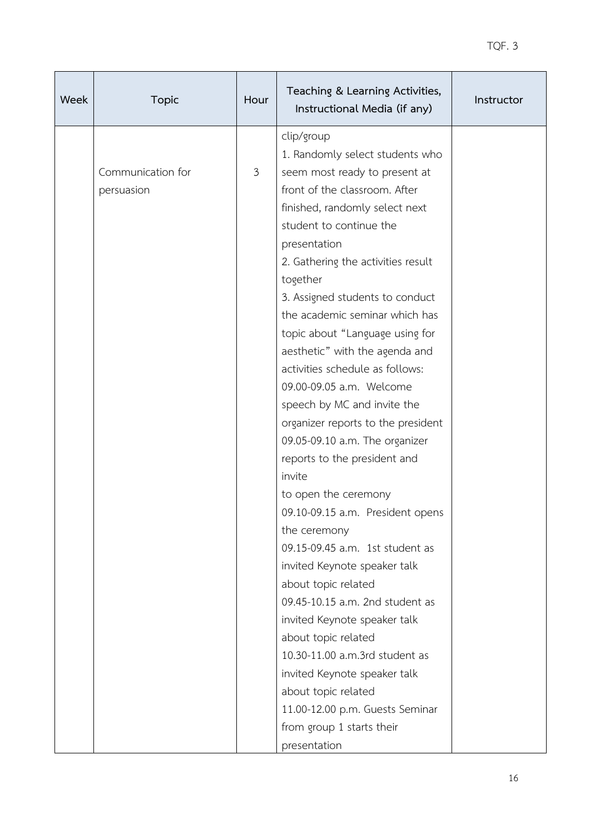| Week | <b>Topic</b>                    | Hour | Teaching & Learning Activities,<br>Instructional Media (if any)                                                                                                                                                                                                                                                                                                                                                                                                                                                                                                                                                                                                                                                                                                                                                                                                                                                                                                                                                                   | Instructor |
|------|---------------------------------|------|-----------------------------------------------------------------------------------------------------------------------------------------------------------------------------------------------------------------------------------------------------------------------------------------------------------------------------------------------------------------------------------------------------------------------------------------------------------------------------------------------------------------------------------------------------------------------------------------------------------------------------------------------------------------------------------------------------------------------------------------------------------------------------------------------------------------------------------------------------------------------------------------------------------------------------------------------------------------------------------------------------------------------------------|------------|
|      | Communication for<br>persuasion | 3    | clip/group<br>1. Randomly select students who<br>seem most ready to present at<br>front of the classroom. After<br>finished, randomly select next<br>student to continue the<br>presentation<br>2. Gathering the activities result<br>together<br>3. Assigned students to conduct<br>the academic seminar which has<br>topic about "Language using for<br>aesthetic" with the agenda and<br>activities schedule as follows:<br>09.00-09.05 a.m. Welcome<br>speech by MC and invite the<br>organizer reports to the president<br>09.05-09.10 a.m. The organizer<br>reports to the president and<br>invite<br>to open the ceremony<br>09.10-09.15 a.m. President opens<br>the ceremony<br>09.15-09.45 a.m. 1st student as<br>invited Keynote speaker talk<br>about topic related<br>09.45-10.15 a.m. 2nd student as<br>invited Keynote speaker talk<br>about topic related<br>10.30-11.00 a.m.3rd student as<br>invited Keynote speaker talk<br>about topic related<br>11.00-12.00 p.m. Guests Seminar<br>from group 1 starts their |            |
|      |                                 |      | presentation                                                                                                                                                                                                                                                                                                                                                                                                                                                                                                                                                                                                                                                                                                                                                                                                                                                                                                                                                                                                                      |            |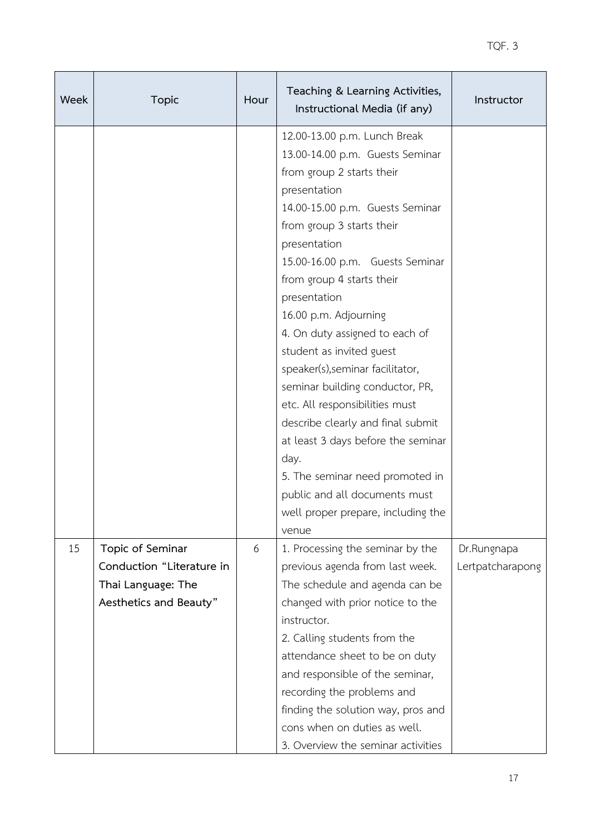| Week | <b>Topic</b>                                    | Hour | Teaching & Learning Activities,<br>Instructional Media (if any)                                                                                                                                                                                                                                                                                                                                                                                                                                                                                                                                                                                                           | Instructor       |
|------|-------------------------------------------------|------|---------------------------------------------------------------------------------------------------------------------------------------------------------------------------------------------------------------------------------------------------------------------------------------------------------------------------------------------------------------------------------------------------------------------------------------------------------------------------------------------------------------------------------------------------------------------------------------------------------------------------------------------------------------------------|------------------|
|      |                                                 |      | 12.00-13.00 p.m. Lunch Break<br>13.00-14.00 p.m. Guests Seminar<br>from group 2 starts their<br>presentation<br>14.00-15.00 p.m. Guests Seminar<br>from group 3 starts their<br>presentation<br>15.00-16.00 p.m. Guests Seminar<br>from group 4 starts their<br>presentation<br>16.00 p.m. Adjourning<br>4. On duty assigned to each of<br>student as invited guest<br>speaker(s), seminar facilitator,<br>seminar building conductor, PR,<br>etc. All responsibilities must<br>describe clearly and final submit<br>at least 3 days before the seminar<br>day.<br>5. The seminar need promoted in<br>public and all documents must<br>well proper prepare, including the |                  |
|      |                                                 |      | venue                                                                                                                                                                                                                                                                                                                                                                                                                                                                                                                                                                                                                                                                     |                  |
| 15   | Topic of Seminar                                | 6    | 1. Processing the seminar by the                                                                                                                                                                                                                                                                                                                                                                                                                                                                                                                                                                                                                                          | Dr.Rungnapa      |
|      | Conduction "Literature in<br>Thai Language: The |      | previous agenda from last week.<br>The schedule and agenda can be                                                                                                                                                                                                                                                                                                                                                                                                                                                                                                                                                                                                         | Lertpatcharapong |
|      | Aesthetics and Beauty"                          |      | changed with prior notice to the                                                                                                                                                                                                                                                                                                                                                                                                                                                                                                                                                                                                                                          |                  |
|      |                                                 |      | instructor.                                                                                                                                                                                                                                                                                                                                                                                                                                                                                                                                                                                                                                                               |                  |
|      |                                                 |      | 2. Calling students from the                                                                                                                                                                                                                                                                                                                                                                                                                                                                                                                                                                                                                                              |                  |
|      |                                                 |      | attendance sheet to be on duty                                                                                                                                                                                                                                                                                                                                                                                                                                                                                                                                                                                                                                            |                  |
|      |                                                 |      | and responsible of the seminar,                                                                                                                                                                                                                                                                                                                                                                                                                                                                                                                                                                                                                                           |                  |
|      |                                                 |      | recording the problems and                                                                                                                                                                                                                                                                                                                                                                                                                                                                                                                                                                                                                                                |                  |
|      |                                                 |      | finding the solution way, pros and<br>cons when on duties as well.                                                                                                                                                                                                                                                                                                                                                                                                                                                                                                                                                                                                        |                  |
|      |                                                 |      | 3. Overview the seminar activities                                                                                                                                                                                                                                                                                                                                                                                                                                                                                                                                                                                                                                        |                  |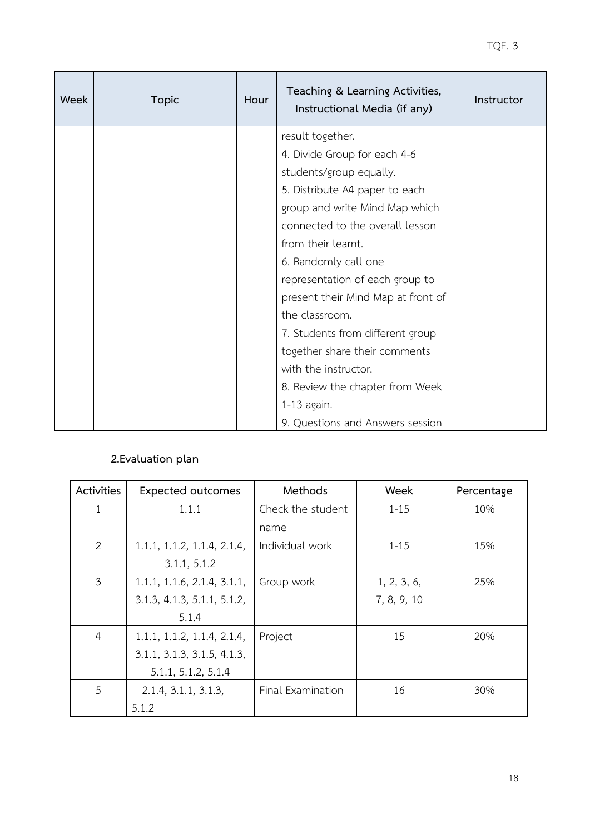| Week | <b>Topic</b>     | Hour | Teaching & Learning Activities,<br>Instructional Media (if any) | Instructor |
|------|------------------|------|-----------------------------------------------------------------|------------|
|      | result together. |      |                                                                 |            |
|      |                  |      | 4. Divide Group for each 4-6                                    |            |
|      |                  |      | students/group equally.                                         |            |
|      |                  |      | 5. Distribute A4 paper to each                                  |            |
|      |                  |      | group and write Mind Map which                                  |            |
|      |                  |      | connected to the overall lesson                                 |            |
|      |                  |      | from their learnt.                                              |            |
|      |                  |      | 6. Randomly call one                                            |            |
|      |                  |      | representation of each group to                                 |            |
|      |                  |      | present their Mind Map at front of                              |            |
|      |                  |      | the classroom.                                                  |            |
|      |                  |      | 7. Students from different group                                |            |
|      |                  |      | together share their comments                                   |            |
|      |                  |      | with the instructor.                                            |            |
|      |                  |      | 8. Review the chapter from Week                                 |            |
|      |                  |      | $1-13$ again.                                                   |            |
|      |                  |      | 9. Questions and Answers session                                |            |

# **2.Evaluation plan**

| Activities<br><b>Expected outcomes</b> |                             | Methods           | Week        | Percentage |
|----------------------------------------|-----------------------------|-------------------|-------------|------------|
| $\mathbf{1}$                           | 1.1.1                       | Check the student | $1 - 15$    | 10%        |
|                                        |                             | name              |             |            |
| 2                                      | 1.1.1, 1.1.2, 1.1.4, 2.1.4, | Individual work   | $1 - 15$    | 15%        |
|                                        | 3.1.1, 5.1.2                |                   |             |            |
| $\mathfrak{Z}$                         | 1.1.1, 1.1.6, 2.1.4, 3.1.1, | Group work        | 1, 2, 3, 6, | 25%        |
|                                        | 3.1.3, 4.1.3, 5.1.1, 5.1.2, |                   | 7, 8, 9, 10 |            |
|                                        | 5.1.4                       |                   |             |            |
| $\overline{4}$                         | 1.1.1, 1.1.2, 1.1.4, 2.1.4, | Project           | 15          | 20%        |
|                                        | 3.1.1, 3.1.3, 3.1.5, 4.1.3, |                   |             |            |
|                                        | 5.1.1, 5.1.2, 5.1.4         |                   |             |            |
| 5                                      | 2.1.4, 3.1.1, 3.1.3,        | Final Examination | 16          | 30%        |
|                                        | 5.1.2                       |                   |             |            |